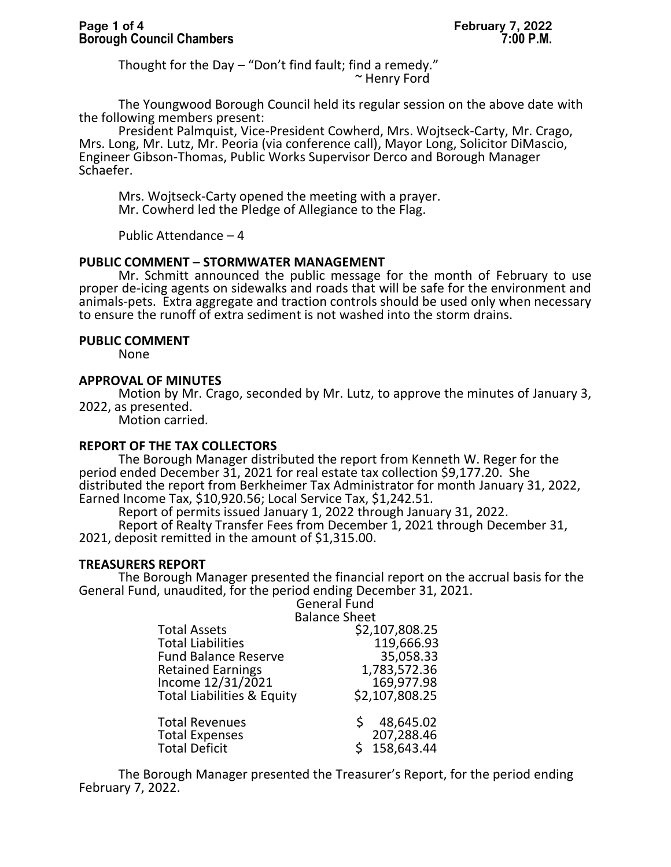Thought for the Day – "Don't find fault; find a remedy." ~ Henry Ford

The Youngwood Borough Council held its regular session on the above date with the following members present:

President Palmquist, Vice-President Cowherd, Mrs. Wojtseck-Carty, Mr. Crago, Mrs. Long, Mr. Lutz, Mr. Peoria (via conference call), Mayor Long, Solicitor DiMascio, Engineer Gibson-Thomas, Public Works Supervisor Derco and Borough Manager Schaefer.

Mrs. Wojtseck-Carty opened the meeting with a prayer. Mr. Cowherd led the Pledge of Allegiance to the Flag.

Public Attendance – 4

### **PUBLIC COMMENT – STORMWATER MANAGEMENT**

Mr. Schmitt announced the public message for the month of February to use proper de-icing agents on sidewalks and roads that will be safe for the environment and animals-pets. Extra aggregate and traction controls should be used only when necessary to ensure the runoff of extra sediment is not washed into the storm drains.

#### **PUBLIC COMMENT**

None

# **APPROVAL OF MINUTES**

Motion by Mr. Crago, seconded by Mr. Lutz, to approve the minutes of January 3, 2022, as presented.

Motion carried.

### **REPORT OF THE TAX COLLECTORS**

The Borough Manager distributed the report from Kenneth W. Reger for the period ended December 31, 2021 for real estate tax collection \$9,177.20. She distributed the report from Berkheimer Tax Administrator for month January 31, 2022, Earned Income Tax, \$10,920.56; Local Service Tax, \$1,242.51.

Report of permits issued January 1, 2022 through January 31, 2022.

Report of Realty Transfer Fees from December 1, 2021 through December 31, 2021, deposit remitted in the amount of \$1,315.00.

### **TREASURERS REPORT**

The Borough Manager presented the financial report on the accrual basis for the General Fund, unaudited, for the period ending December 31, 2021.

General Fund Balance Sheet

| \$2,107,808.25 |
|----------------|
| 119,666.93     |
| 35,058.33      |
| 1,783,572.36   |
| 169,977.98     |
| \$2,107,808.25 |
| 48,645.02      |
| 207,288.46     |
| 158,643.44     |
|                |

The Borough Manager presented the Treasurer's Report, for the period ending February 7, 2022.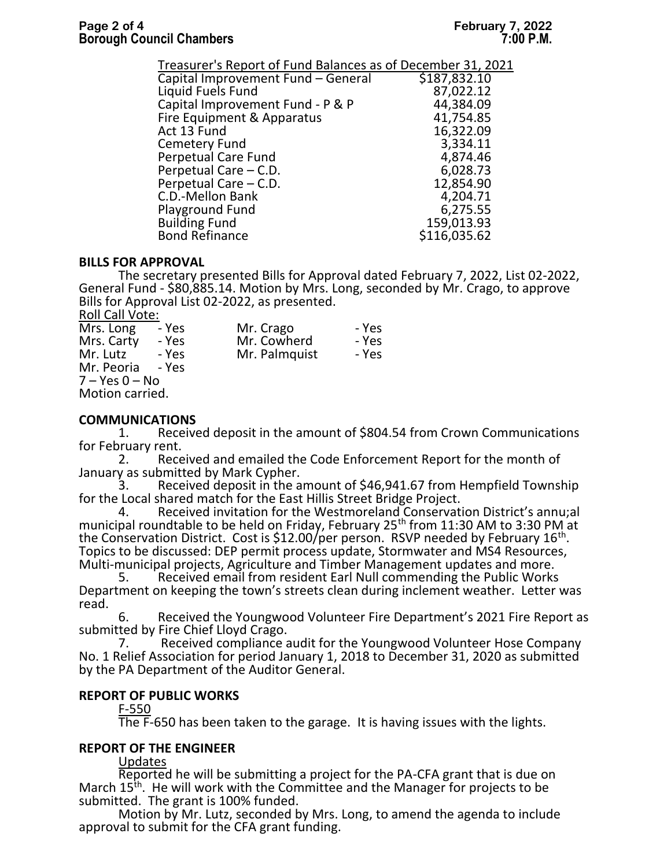| Treasurer's Report of Fund Balances as of December 31, 2021 |              |
|-------------------------------------------------------------|--------------|
| Capital Improvement Fund - General                          | \$187,832.10 |
| Liquid Fuels Fund                                           | 87,022.12    |
| Capital Improvement Fund - P & P                            | 44,384.09    |
| Fire Equipment & Apparatus                                  | 41,754.85    |
| Act 13 Fund                                                 | 16,322.09    |
| Cemetery Fund                                               | 3,334.11     |
| <b>Perpetual Care Fund</b>                                  | 4,874.46     |
| Perpetual Care – C.D.                                       | 6,028.73     |
| Perpetual Care - C.D.                                       | 12,854.90    |
| C.D.-Mellon Bank                                            | 4,204.71     |
| <b>Playground Fund</b>                                      | 6,275.55     |
| <b>Building Fund</b>                                        | 159,013.93   |
| <b>Bond Refinance</b>                                       | \$116,035.62 |

# **BILLS FOR APPROVAL**

The secretary presented Bills for Approval dated February 7, 2022, List 02-2022, General Fund - \$80,885.14. Motion by Mrs. Long, seconded by Mr. Crago, to approve Bills for Approval List 02-2022, as presented. Roll Call Vote:

| non can volch      |       |               |       |
|--------------------|-------|---------------|-------|
| Mrs. Long          | - Yes | Mr. Crago     | - Yes |
| Mrs. Carty         | - Yes | Mr. Cowherd   | - Yes |
| Mr. Lutz           | - Yes | Mr. Palmquist | - Yes |
| Mr. Peoria - Yes   |       |               |       |
| $7 - Yes$ $0 - No$ |       |               |       |
| Motion carried.    |       |               |       |
|                    |       |               |       |

# **COMMUNICATIONS**<br>1. Receive

Received deposit in the amount of \$804.54 from Crown Communications for February rent.

2. Received and emailed the Code Enforcement Report for the month of January as submitted by Mark Cypher.<br>3. Beceived deposit in the a

Received deposit in the amount of \$46,941.67 from Hempfield Township for the Local shared match for the East Hillis Street Bridge Project.

4. Received invitation for the Westmoreland Conservation District's annu;al municipal roundtable to be held on Friday, February 25<sup>th</sup> from 11:30 AM to 3:30 PM at the Conservation District. Cost is \$12.00/per person. RSVP needed by February 16<sup>th</sup>. Topics to be discussed: DEP permit process update, Stormwater and MS4 Resources, Multi-municipal projects, Agriculture and Timber Management updates and more.

Received email from resident Earl Null commending the Public Works Department on keeping the town's streets clean during inclement weather. Letter was read.

6. Received the Youngwood Volunteer Fire Department's 2021 Fire Report as submitted by Fire Chief Lloyd Crago.<br>7. Received compliance a

Received compliance audit for the Youngwood Volunteer Hose Company No. 1 Relief Association for period January 1, 2018 to December 31, 2020 as submitted by the PA Department of the Auditor General.

# **REPORT OF PUBLIC WORKS**

# F-550

The F-650 has been taken to the garage. It is having issues with the lights.

# **REPORT OF THE ENGINEER**

Updates

Reported he will be submitting a project for the PA-CFA grant that is due on March 15<sup>th</sup>. He will work with the Committee and the Manager for projects to be submitted. The grant is 100% funded.

Motion by Mr. Lutz, seconded by Mrs. Long, to amend the agenda to include approval to submit for the CFA grant funding.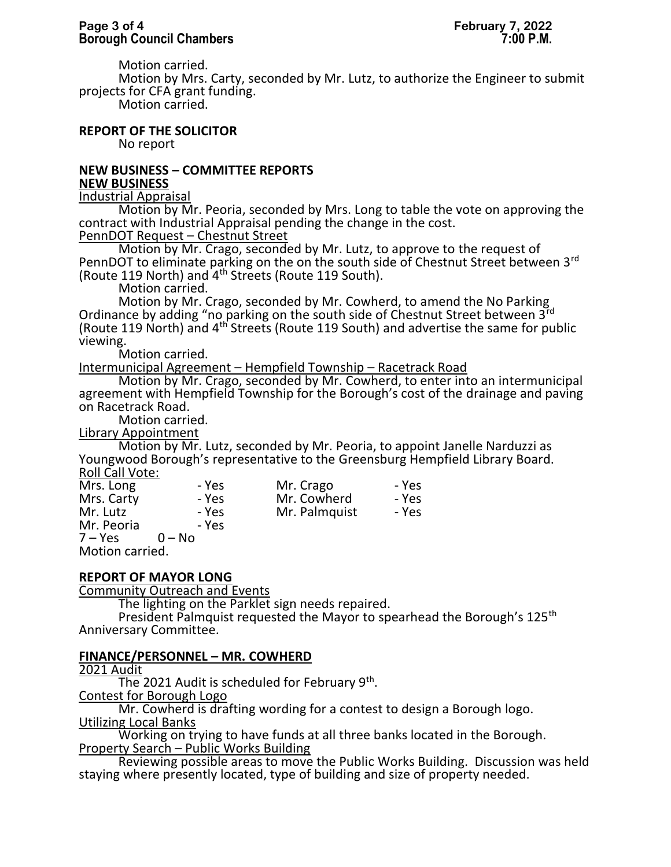Motion carried.

Motion by Mrs. Carty, seconded by Mr. Lutz, to authorize the Engineer to submit projects for CFA grant funding.

Motion carried.

# **REPORT OF THE SOLICITOR**

No report

# **NEW BUSINESS – COMMITTEE REPORTS NEW BUSINESS**

Industrial Appraisal

Motion by Mr. Peoria, seconded by Mrs. Long to table the vote on approving the contract with Industrial Appraisal pending the change in the cost.

# PennDOT Request - Chestnut Street

Motion by Mr. Crago, seconded by Mr. Lutz, to approve to the request of PennDOT to eliminate parking on the on the south side of Chestnut Street between 3<sup>rd</sup> (Route 119 North) and 4th Streets (Route 119 South).

Motion carried.

Motion by Mr. Crago, seconded by Mr. Cowherd, to amend the No Parking Ordinance by adding "no parking on the south side of Chestnut Street between 3rd (Route 119 North) and 4th Streets (Route 119 South) and advertise the same for public viewing.

Motion carried.

Intermunicipal Agreement – Hempfield Township – Racetrack Road

Motion by Mr. Crago, seconded by Mr. Cowherd, to enter into an intermunicipal agreement with Hempfield Township for the Borough's cost of the drainage and paving on Racetrack Road.

Motion carried.

Library Appointment

Motion by Mr. Lutz, seconded by Mr. Peoria, to appoint Janelle Narduzzi as Youngwood Borough's representative to the Greensburg Hempfield Library Board. Roll Call Vote:

| Mrs. Long  | - Yes    | Mr. Crago     | - Yes |
|------------|----------|---------------|-------|
| Mrs. Carty | - Yes    | Mr. Cowherd   | - Yes |
| Mr. Lutz   | - Yes    | Mr. Palmquist | - Yes |
| Mr. Peoria | - Yes    |               |       |
| $7 - Yes$  | $0 - No$ |               |       |

Motion carried.

# **REPORT OF MAYOR LONG**

Community Outreach and Events

The lighting on the Parklet sign needs repaired.

President Palmquist requested the Mayor to spearhead the Borough's 125<sup>th</sup> Anniversary Committee.

# **FINANCE/PERSONNEL – MR. COWHERD**

2021 Audit

The 2021 Audit is scheduled for February 9<sup>th</sup>.

Contest for Borough Logo

Mr. Cowherd is drafting wording for a contest to design a Borough logo. Utilizing Local Banks

Working on trying to have funds at all three banks located in the Borough. Property Search – Public Works Building

Reviewing possible areas to move the Public Works Building. Discussion was held staying where presently located, type of building and size of property needed.